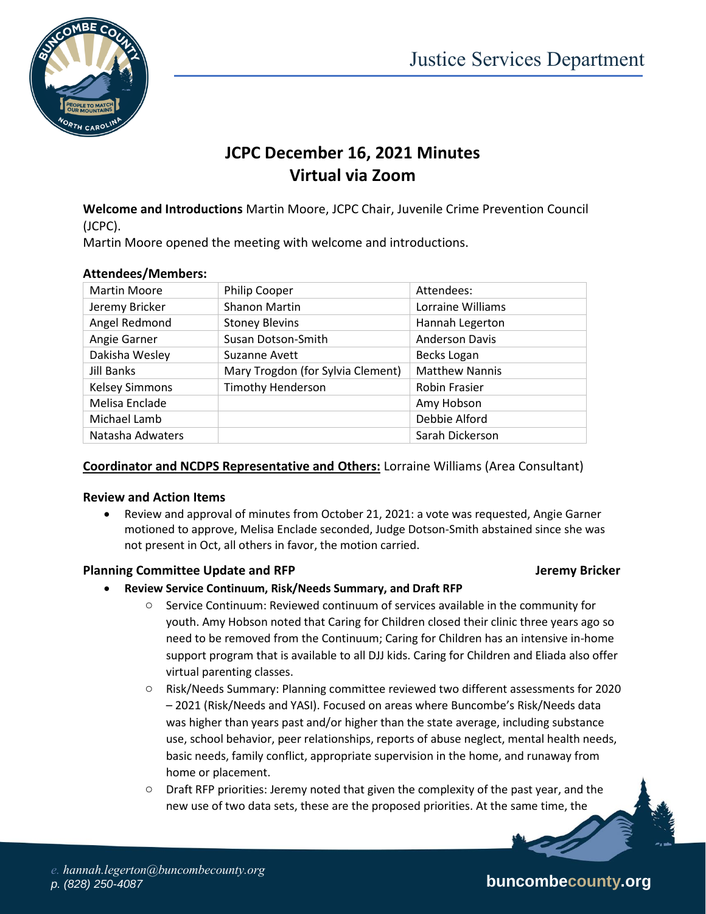

# **JCPC December 16, 2021 Minutes Virtual via Zoom**

**Welcome and Introductions** Martin Moore, JCPC Chair, Juvenile Crime Prevention Council (JCPC).

Martin Moore opened the meeting with welcome and introductions.

| <b>Martin Moore</b>   | <b>Philip Cooper</b>              | Attendees:            |
|-----------------------|-----------------------------------|-----------------------|
| Jeremy Bricker        | Shanon Martin                     | Lorraine Williams     |
| Angel Redmond         | <b>Stoney Blevins</b>             | Hannah Legerton       |
| Angie Garner          | Susan Dotson-Smith                | <b>Anderson Davis</b> |
| Dakisha Wesley        | Suzanne Avett                     | Becks Logan           |
| Jill Banks            | Mary Trogdon (for Sylvia Clement) | <b>Matthew Nannis</b> |
| <b>Kelsey Simmons</b> | <b>Timothy Henderson</b>          | <b>Robin Frasier</b>  |
| Melisa Enclade        |                                   | Amy Hobson            |
| Michael Lamb          |                                   | Debbie Alford         |
| Natasha Adwaters      |                                   | Sarah Dickerson       |

#### **Attendees/Members:**

#### **Coordinator and NCDPS Representative and Others:** Lorraine Williams (Area Consultant)

#### **Review and Action Items**

 Review and approval of minutes from October 21, 2021: a vote was requested, Angie Garner motioned to approve, Melisa Enclade seconded, Judge Dotson-Smith abstained since she was not present in Oct, all others in favor, the motion carried.

#### **Planning Committee Update and RFP Jeremy Bricker**

- **Review Service Continuum, Risk/Needs Summary, and Draft RFP**
	- $\circ$  Service Continuum: Reviewed continuum of services available in the community for youth. Amy Hobson noted that Caring for Children closed their clinic three years ago so need to be removed from the Continuum; Caring for Children has an intensive in-home support program that is available to all DJJ kids. Caring for Children and Eliada also offer virtual parenting classes.
	- o Risk/Needs Summary: Planning committee reviewed two different assessments for 2020 – 2021 (Risk/Needs and YASI). Focused on areas where Buncombe's Risk/Needs data was higher than years past and/or higher than the state average, including substance use, school behavior, peer relationships, reports of abuse neglect, mental health needs, basic needs, family conflict, appropriate supervision in the home, and runaway from home or placement.
	- $\circ$  Draft RFP priorities: Jeremy noted that given the complexity of the past year, and the new use of two data sets, these are the proposed priorities. At the same time, the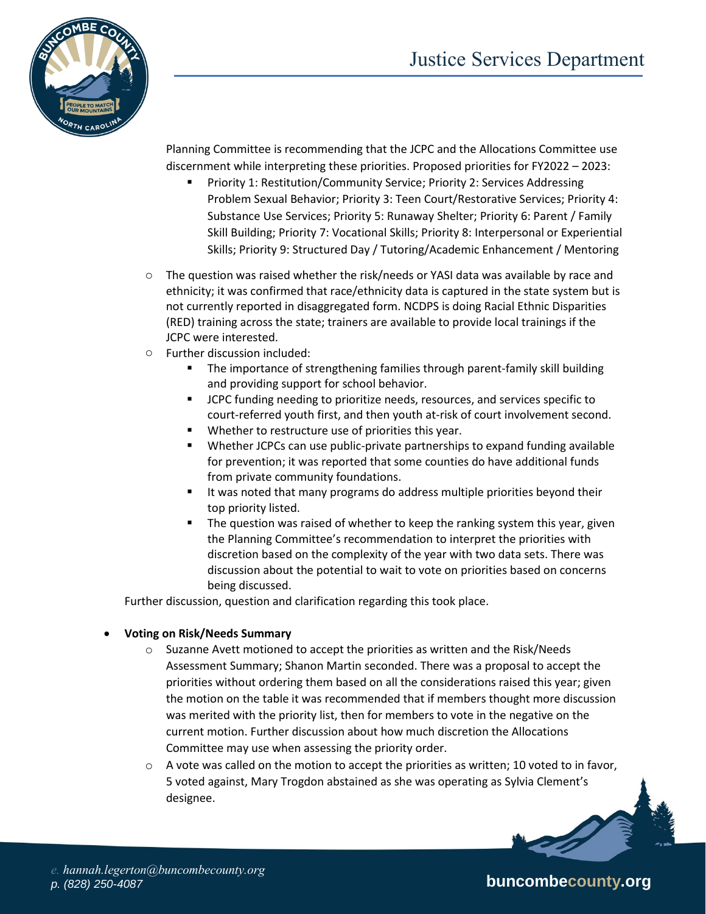

Planning Committee is recommending that the JCPC and the Allocations Committee use discernment while interpreting these priorities. Proposed priorities for FY2022 – 2023:

- Priority 1: Restitution/Community Service; Priority 2: Services Addressing Problem Sexual Behavior; Priority 3: Teen Court/Restorative Services; Priority 4: Substance Use Services; Priority 5: Runaway Shelter; Priority 6: Parent / Family Skill Building; Priority 7: Vocational Skills; Priority 8: Interpersonal or Experiential Skills; Priority 9: Structured Day / Tutoring/Academic Enhancement / Mentoring
- $\circ$  The question was raised whether the risk/needs or YASI data was available by race and ethnicity; it was confirmed that race/ethnicity data is captured in the state system but is not currently reported in disaggregated form. NCDPS is doing Racial Ethnic Disparities (RED) training across the state; trainers are available to provide local trainings if the JCPC were interested.
- o Further discussion included:
	- **The importance of strengthening families through parent-family skill building** and providing support for school behavior.
	- JCPC funding needing to prioritize needs, resources, and services specific to court-referred youth first, and then youth at-risk of court involvement second.
	- Whether to restructure use of priorities this year.
	- Whether JCPCs can use public-private partnerships to expand funding available for prevention; it was reported that some counties do have additional funds from private community foundations.
	- It was noted that many programs do address multiple priorities beyond their top priority listed.
	- The question was raised of whether to keep the ranking system this year, given the Planning Committee's recommendation to interpret the priorities with discretion based on the complexity of the year with two data sets. There was discussion about the potential to wait to vote on priorities based on concerns being discussed.

Further discussion, question and clarification regarding this took place.

#### **Voting on Risk/Needs Summary**

- $\circ$  Suzanne Avett motioned to accept the priorities as written and the Risk/Needs Assessment Summary; Shanon Martin seconded. There was a proposal to accept the priorities without ordering them based on all the considerations raised this year; given the motion on the table it was recommended that if members thought more discussion was merited with the priority list, then for members to vote in the negative on the current motion. Further discussion about how much discretion the Allocations Committee may use when assessing the priority order.
- $\circ$  A vote was called on the motion to accept the priorities as written; 10 voted to in favor, 5 voted against, Mary Trogdon abstained as she was operating as Sylvia Clement's designee.